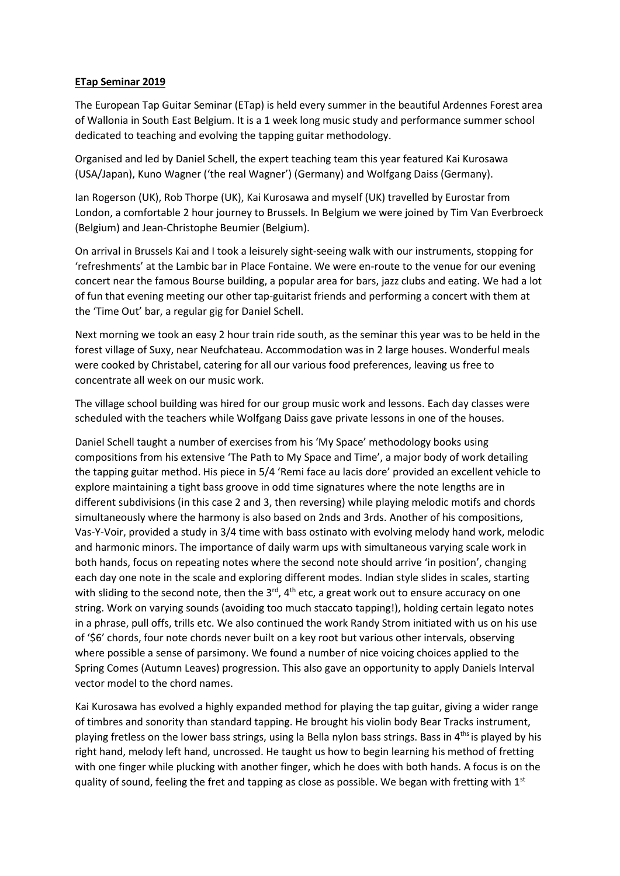## **ETap Seminar 2019**

The European Tap Guitar Seminar (ETap) is held every summer in the beautiful Ardennes Forest area of Wallonia in South East Belgium. It is a 1 week long music study and performance summer school dedicated to teaching and evolving the tapping guitar methodology.

Organised and led by Daniel Schell, the expert teaching team this year featured Kai Kurosawa (USA/Japan), Kuno Wagner ('the real Wagner') (Germany) and Wolfgang Daiss (Germany).

Ian Rogerson (UK), Rob Thorpe (UK), Kai Kurosawa and myself (UK) travelled by Eurostar from London, a comfortable 2 hour journey to Brussels. In Belgium we were joined by Tim Van Everbroeck (Belgium) and Jean-Christophe Beumier (Belgium).

On arrival in Brussels Kai and I took a leisurely sight-seeing walk with our instruments, stopping for 'refreshments' at the Lambic bar in Place Fontaine. We were en-route to the venue for our evening concert near the famous Bourse building, a popular area for bars, jazz clubs and eating. We had a lot of fun that evening meeting our other tap-guitarist friends and performing a concert with them at the 'Time Out' bar, a regular gig for Daniel Schell.

Next morning we took an easy 2 hour train ride south, as the seminar this year was to be held in the forest village of Suxy, near Neufchateau. Accommodation was in 2 large houses. Wonderful meals were cooked by Christabel, catering for all our various food preferences, leaving us free to concentrate all week on our music work.

The village school building was hired for our group music work and lessons. Each day classes were scheduled with the teachers while Wolfgang Daiss gave private lessons in one of the houses.

Daniel Schell taught a number of exercises from his 'My Space' methodology books using compositions from his extensive 'The Path to My Space and Time', a major body of work detailing the tapping guitar method. His piece in 5/4 'Remi face au lacis dore' provided an excellent vehicle to explore maintaining a tight bass groove in odd time signatures where the note lengths are in different subdivisions (in this case 2 and 3, then reversing) while playing melodic motifs and chords simultaneously where the harmony is also based on 2nds and 3rds. Another of his compositions, Vas-Y-Voir, provided a study in 3/4 time with bass ostinato with evolving melody hand work, melodic and harmonic minors. The importance of daily warm ups with simultaneous varying scale work in both hands, focus on repeating notes where the second note should arrive 'in position', changing each day one note in the scale and exploring different modes. Indian style slides in scales, starting with sliding to the second note, then the  $3^{rd}$ ,  $4^{th}$  etc, a great work out to ensure accuracy on one string. Work on varying sounds (avoiding too much staccato tapping!), holding certain legato notes in a phrase, pull offs, trills etc. We also continued the work Randy Strom initiated with us on his use of '\$6' chords, four note chords never built on a key root but various other intervals, observing where possible a sense of parsimony. We found a number of nice voicing choices applied to the Spring Comes (Autumn Leaves) progression. This also gave an opportunity to apply Daniels Interval vector model to the chord names.

Kai Kurosawa has evolved a highly expanded method for playing the tap guitar, giving a wider range of timbres and sonority than standard tapping. He brought his violin body Bear Tracks instrument, playing fretless on the lower bass strings, using la Bella nylon bass strings. Bass in 4<sup>ths</sup> is played by his right hand, melody left hand, uncrossed. He taught us how to begin learning his method of fretting with one finger while plucking with another finger, which he does with both hands. A focus is on the quality of sound, feeling the fret and tapping as close as possible. We began with fretting with  $1<sup>st</sup>$